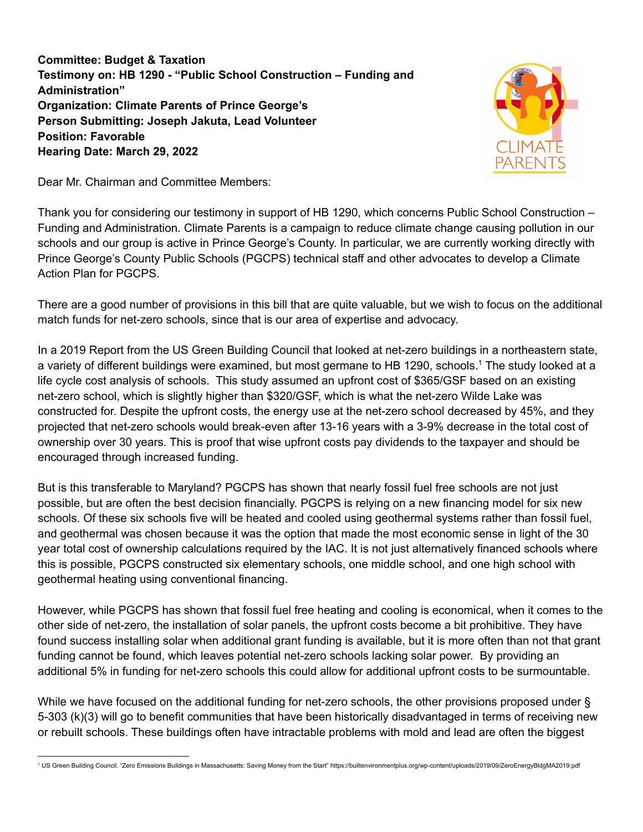**Committee: Budget & Taxation Testimony on: HB 1290 - "Public School Construction – Funding and Administration" Organization: Climate Parents of Prince George's Person Submitting: Joseph Jakuta, Lead Volunteer Position: Favorable Hearing Date: March 29, 2022**



Dear Mr. Chairman and Committee Members:

Thank you for considering our testimony in support of HB 1290, which concerns Public School Construction – Funding and Administration. Climate Parents is a campaign to reduce climate change causing pollution in our schools and our group is active in Prince George's County. In particular, we are currently working directly with Prince George's County Public Schools (PGCPS) technical staff and other advocates to develop a Climate Action Plan for PGCPS.

There are a good number of provisions in this bill that are quite valuable, but we wish to focus on the additional match funds for net-zero schools, since that is our area of expertise and advocacy.

In a 2019 Report from the US Green Building Council that looked at net-zero buildings in a northeastern state, a variety of different buildings were examined, but most germane to HB 1290, schools. <sup>1</sup> The study looked at a life cycle cost analysis of schools. This study assumed an upfront cost of \$365/GSF based on an existing net-zero school, which is slightly higher than \$320/GSF, which is what the net-zero Wilde Lake was constructed for. Despite the upfront costs, the energy use at the net-zero school decreased by 45%, and they projected that net-zero schools would break-even after 13-16 years with a 3-9% decrease in the total cost of ownership over 30 years. This is proof that wise upfront costs pay dividends to the taxpayer and should be encouraged through increased funding.

But is this transferable to Maryland? PGCPS has shown that nearly fossil fuel free schools are not just possible, but are often the best decision financially. PGCPS is relying on a new financing model for six new schools. Of these six schools five will be heated and cooled using geothermal systems rather than fossil fuel, and geothermal was chosen because it was the option that made the most economic sense in light of the 30 year total cost of ownership calculations required by the IAC. It is not just alternatively financed schools where this is possible, PGCPS constructed six elementary schools, one middle school, and one high school with geothermal heating using conventional financing.

However, while PGCPS has shown that fossil fuel free heating and cooling is economical, when it comes to the other side of net-zero, the installation of solar panels, the upfront costs become a bit prohibitive. They have found success installing solar when additional grant funding is available, but it is more often than not that grant funding cannot be found, which leaves potential net-zero schools lacking solar power. By providing an additional 5% in funding for net-zero schools this could allow for additional upfront costs to be surmountable.

While we have focused on the additional funding for net-zero schools, the other provisions proposed under § 5-303 (k)(3) will go to benefit communities that have been historically disadvantaged in terms of receiving new or rebuilt schools. These buildings often have intractable problems with mold and lead are often the biggest

<sup>1</sup> US Green Building Council. "Zero Emissions Buildings in Massachusetts: Saving Money from the Start" https://builtenvironmentplus.org/wp-content/uploads/2019/09/ZeroEnergyBldgMA2019.pdf